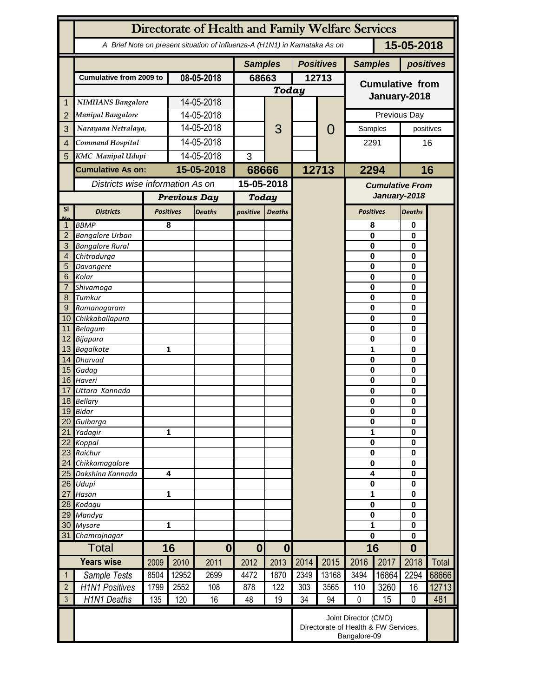|                   | Directorate of Health and Family Welfare Services                                        |              |                         |               |              |                  |           |                                                                              |                                        |               |                      |              |  |
|-------------------|------------------------------------------------------------------------------------------|--------------|-------------------------|---------------|--------------|------------------|-----------|------------------------------------------------------------------------------|----------------------------------------|---------------|----------------------|--------------|--|
|                   | 15-05-2018<br>A Brief Note on present situation of Influenza-A (H1N1) in Karnataka As on |              |                         |               |              |                  |           |                                                                              |                                        |               |                      |              |  |
|                   |                                                                                          |              | <b>Samples</b>          |               |              | <b>Positives</b> |           | <b>Samples</b>                                                               |                                        | positives     |                      |              |  |
|                   | <b>Cumulative from 2009 to</b>                                                           |              | 08-05-2018              |               | 68663        |                  | 12713     |                                                                              | <b>Cumulative from</b>                 |               |                      |              |  |
|                   |                                                                                          |              |                         |               | <b>Today</b> |                  |           |                                                                              |                                        |               |                      |              |  |
| 1                 | <b>NIMHANS Bangalore</b>                                                                 |              | 14-05-2018              |               |              |                  |           |                                                                              | January-2018                           |               |                      |              |  |
| $\overline{2}$    | <b>Manipal Bangalore</b>                                                                 |              | 14-05-2018              |               |              |                  |           |                                                                              | Previous Day                           |               |                      |              |  |
| 3                 | Narayana Netralaya,                                                                      |              | 14-05-2018              |               |              | 3                |           | $\mathcal{O}$                                                                | Samples                                |               | positives            |              |  |
|                   | Command Hospital                                                                         |              | 14-05-2018              |               |              |                  |           |                                                                              |                                        |               | 16                   |              |  |
| $\overline{4}$    |                                                                                          |              |                         |               |              |                  |           |                                                                              | 2291                                   |               |                      |              |  |
| 5                 | <b>KMC</b> Manipal Udupi                                                                 |              | 14-05-2018              |               | 3            |                  |           |                                                                              |                                        |               |                      |              |  |
|                   | <b>Cumulative As on:</b>                                                                 |              | 15-05-2018              |               | 68666        |                  | 12713     |                                                                              | 2294                                   |               |                      | 16           |  |
|                   | Districts wise information As on                                                         |              |                         |               | 15-05-2018   |                  |           |                                                                              | <b>Cumulative From</b><br>January-2018 |               |                      |              |  |
|                   |                                                                                          |              | <b>Previous Day</b>     |               | <b>Today</b> |                  |           |                                                                              |                                        |               |                      |              |  |
| <b>SI</b>         | <b>Districts</b>                                                                         |              | <b>Positives</b>        | <b>Deaths</b> |              | <b>Deaths</b>    |           |                                                                              | <b>Positives</b>                       | <b>Deaths</b> |                      |              |  |
| Mz                | <b>BBMP</b>                                                                              |              | 8                       |               |              |                  |           |                                                                              | 8                                      |               | 0                    |              |  |
| $\overline{2}$    | <b>Bangalore Urban</b>                                                                   |              |                         |               |              |                  |           |                                                                              | $\mathbf{0}$                           |               | 0                    |              |  |
| 3                 | <b>Bangalore Rural</b>                                                                   |              |                         |               |              |                  |           |                                                                              | 0                                      |               | $\bf{0}$             |              |  |
| 4                 | Chitradurga                                                                              |              |                         |               |              |                  |           |                                                                              | 0                                      |               | 0                    |              |  |
| 5                 | Davangere                                                                                |              |                         |               |              |                  |           |                                                                              | 0                                      |               | 0                    |              |  |
| 6                 | Kolar                                                                                    |              |                         |               |              |                  |           |                                                                              | 0<br>0                                 |               | 0<br>0               |              |  |
| 7<br>8            | Shivamoga<br>Tumkur                                                                      |              |                         |               |              |                  |           |                                                                              | $\mathbf 0$                            |               | 0                    |              |  |
| 9                 | Ramanagaram                                                                              |              |                         |               |              |                  |           |                                                                              | $\mathbf 0$                            |               | 0                    |              |  |
| 10 <sup>°</sup>   | Chikkaballapura                                                                          |              |                         |               |              |                  |           |                                                                              | 0                                      |               | 0                    |              |  |
|                   | 11 Belagum                                                                               |              |                         |               |              |                  |           |                                                                              | $\bf{0}$                               |               | 0                    |              |  |
|                   | 12 Bijapura                                                                              |              |                         |               |              |                  |           |                                                                              | 0                                      | $\bf{0}$      |                      |              |  |
|                   | 13 Bagalkote                                                                             |              |                         | 1             |              |                  |           |                                                                              | 1                                      |               | $\bf{0}$             |              |  |
|                   | 14 Dharvad                                                                               |              |                         |               |              |                  |           |                                                                              | $\mathbf 0$<br>$\mathbf 0$             |               | 0<br>0               |              |  |
|                   | 15 Gadag<br>16 Haveri                                                                    |              |                         |               |              |                  |           |                                                                              | $\mathbf 0$                            |               | $\bf{0}$             |              |  |
| 17                | Uttara Kannada                                                                           |              |                         |               |              |                  |           |                                                                              | 0                                      |               | 0                    |              |  |
|                   | 18 Bellary                                                                               |              |                         |               |              |                  |           |                                                                              | 0                                      |               | 0                    |              |  |
|                   | 19 Bidar                                                                                 |              |                         |               |              |                  |           |                                                                              | $\pmb{0}$                              |               | 0                    |              |  |
| 20                | Gulbarga                                                                                 |              |                         |               |              |                  |           |                                                                              |                                        | $\bf{0}$      |                      |              |  |
| 21                | Yadagir                                                                                  |              | 1                       |               |              |                  |           |                                                                              | 1                                      |               | 0                    |              |  |
| 22                | Koppal                                                                                   |              |                         |               |              |                  |           |                                                                              | $\bf{0}$<br>$\bf{0}$                   |               | $\bf{0}$<br>$\bf{0}$ |              |  |
| 23<br>24          | Raichur<br>Chikkamagalore                                                                |              |                         |               |              |                  |           |                                                                              |                                        | $\bf{0}$      |                      |              |  |
| 25                | Dakshina Kannada                                                                         |              | $\overline{\mathbf{4}}$ |               |              |                  |           |                                                                              |                                        | 4             |                      |              |  |
| 26                | Udupi                                                                                    |              |                         |               |              |                  |           |                                                                              | $\pmb{0}$                              |               | $\bf{0}$<br>$\bf{0}$ |              |  |
| 27                | Hasan                                                                                    |              | 1                       |               |              |                  |           |                                                                              | 1                                      |               | $\bf{0}$             |              |  |
|                   | 28 Kodagu                                                                                |              |                         |               |              |                  |           |                                                                              | $\pmb{0}$                              |               | $\bf{0}$             |              |  |
| 29                | Mandya                                                                                   |              |                         |               |              |                  |           |                                                                              | $\bf{0}$<br>1                          |               | $\bf{0}$             |              |  |
| 30<br>31          | <b>Mysore</b>                                                                            | Chamrajnagar |                         | 1             |              |                  |           |                                                                              |                                        |               | $\bf{0}$<br>$\bf{0}$ |              |  |
|                   | <b>Total</b>                                                                             |              | 16<br>$\mathbf{0}$      |               | $\bf{0}$     | $\boldsymbol{0}$ |           |                                                                              | $\mathbf 0$<br>16                      |               | $\bf{0}$             |              |  |
| <b>Years wise</b> |                                                                                          | 2009         | 2010                    | 2011          | 2012         | 2013             | 2014      | 2015                                                                         | 2016                                   | 2017          | 2018                 | <b>Total</b> |  |
| $\mathbf{1}$      | Sample Tests                                                                             | 8504         | 12952                   | 2699          | 4472         | 1870             | 2349      | 13168                                                                        | 3494                                   | 16864         | 2294                 | 68666        |  |
| $\overline{2}$    |                                                                                          |              | 2552                    |               |              |                  |           |                                                                              |                                        |               |                      |              |  |
| $\mathfrak{Z}$    | <b>H1N1 Positives</b>                                                                    | 1799         |                         | 108           | 878          | 122<br>19        | 303<br>34 | 3565                                                                         | 110<br>$\mathbf 0$                     | 3260          | 16<br>$\mathbf 0$    | 12713        |  |
|                   | H1N1 Deaths                                                                              | 135          | 120                     | 16            | 48           |                  |           | 94                                                                           |                                        | 15            |                      | 481          |  |
|                   |                                                                                          |              |                         |               |              |                  |           | Joint Director (CMD)<br>Directorate of Health & FW Services.<br>Bangalore-09 |                                        |               |                      |              |  |